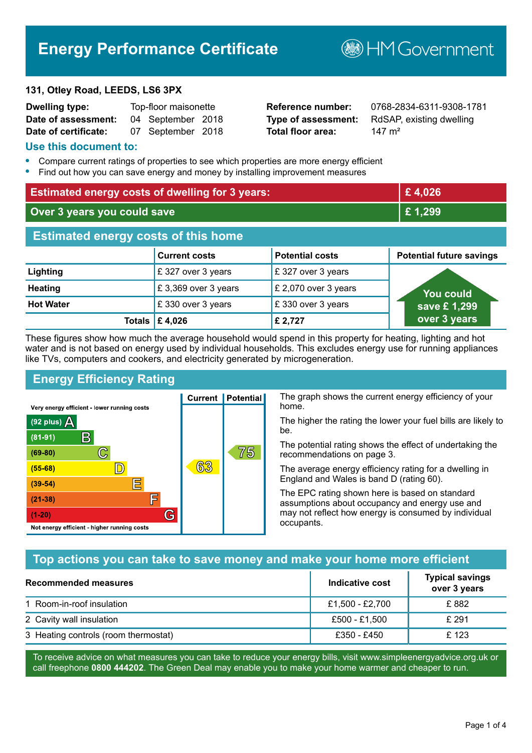## **Energy Performance Certificate**

# **B**HMGovernment

#### **131, Otley Road, LEEDS, LS6 3PX**

| <b>Dwelling type:</b> | Top-floor maisonette |                   |  |
|-----------------------|----------------------|-------------------|--|
| Date of assessment:   |                      | 04 September 2018 |  |
| Date of certificate:  |                      | 07 September 2018 |  |

**Total floor area:** 147 m<sup>2</sup>

**Reference number:** 0768-2834-6311-9308-1781 **Type of assessment:** RdSAP, existing dwelling

#### **Use this document to:**

- **•** Compare current ratings of properties to see which properties are more energy efficient
- **•** Find out how you can save energy and money by installing improvement measures

| <b>Estimated energy costs of dwelling for 3 years:</b> |                           | £4,026                 |                                 |
|--------------------------------------------------------|---------------------------|------------------------|---------------------------------|
| Over 3 years you could save                            |                           | £1,299                 |                                 |
| <b>Estimated energy costs of this home</b>             |                           |                        |                                 |
|                                                        | <b>Current costs</b>      | <b>Potential costs</b> | <b>Potential future savings</b> |
| Lighting                                               | £327 over 3 years         | £327 over 3 years      |                                 |
| <b>Heating</b>                                         | £3,369 over 3 years       | £ 2,070 over 3 years   | You could                       |
| <b>Hot Water</b>                                       | £330 over 3 years         | £330 over 3 years      | save £1,299                     |
|                                                        | Totals $\mathsf{E}$ 4,026 | £ 2,727                | over 3 years                    |

These figures show how much the average household would spend in this property for heating, lighting and hot water and is not based on energy used by individual households. This excludes energy use for running appliances like TVs, computers and cookers, and electricity generated by microgeneration.

**Current | Potential** 

63

## **Energy Efficiency Rating**

 $\mathbb{C}$ 

 $\mathbb{D}$ 

E

庐

G

Very energy efficient - lower running costs

 $\mathsf{R}% _{T}$ 

Not energy efficient - higher running costs

 $(92$  plus)

 $(81 - 91)$ 

 $(69 - 80)$ 

 $(55-68)$ 

 $(39 - 54)$ 

 $(21-38)$ 

 $(1-20)$ 

- 70

The graph shows the current energy efficiency of your home.

The higher the rating the lower your fuel bills are likely to be.

The potential rating shows the effect of undertaking the recommendations on page 3.

The average energy efficiency rating for a dwelling in England and Wales is band D (rating 60).

The EPC rating shown here is based on standard assumptions about occupancy and energy use and may not reflect how energy is consumed by individual occupants.

## **Top actions you can take to save money and make your home more efficient**

75

| Recommended measures                 | Indicative cost | <b>Typical savings</b><br>over 3 years |
|--------------------------------------|-----------------|----------------------------------------|
| 1 Room-in-roof insulation            | £1,500 - £2,700 | £ 882                                  |
| 2 Cavity wall insulation             | £500 - £1,500   | £ 291                                  |
| 3 Heating controls (room thermostat) | £350 - £450     | £123                                   |

To receive advice on what measures you can take to reduce your energy bills, visit www.simpleenergyadvice.org.uk or call freephone **0800 444202**. The Green Deal may enable you to make your home warmer and cheaper to run.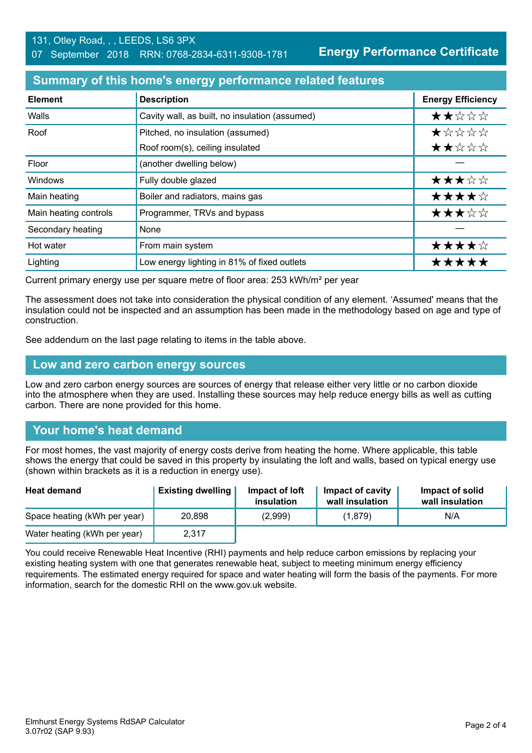**Energy Performance Certificate**

#### **Summary of this home's energy performance related features**

| <b>Element</b>        | <b>Description</b>                             | <b>Energy Efficiency</b> |
|-----------------------|------------------------------------------------|--------------------------|
| Walls                 | Cavity wall, as built, no insulation (assumed) | ★★☆☆☆                    |
| Roof                  | Pitched, no insulation (assumed)               | *****                    |
|                       | Roof room(s), ceiling insulated                | ★★☆☆☆                    |
| Floor                 | (another dwelling below)                       |                          |
| Windows               | Fully double glazed                            | ★★★☆☆                    |
| Main heating          | Boiler and radiators, mains gas                | ★★★★☆                    |
| Main heating controls | Programmer, TRVs and bypass                    | ★★★☆☆                    |
| Secondary heating     | None                                           |                          |
| Hot water             | From main system                               | ★★★★☆                    |
| Lighting              | Low energy lighting in 81% of fixed outlets    | *****                    |

Current primary energy use per square metre of floor area: 253 kWh/m² per year

The assessment does not take into consideration the physical condition of any element. 'Assumed' means that the insulation could not be inspected and an assumption has been made in the methodology based on age and type of construction.

See addendum on the last page relating to items in the table above.

#### **Low and zero carbon energy sources**

Low and zero carbon energy sources are sources of energy that release either very little or no carbon dioxide into the atmosphere when they are used. Installing these sources may help reduce energy bills as well as cutting carbon. There are none provided for this home.

## **Your home's heat demand**

For most homes, the vast majority of energy costs derive from heating the home. Where applicable, this table shows the energy that could be saved in this property by insulating the loft and walls, based on typical energy use (shown within brackets as it is a reduction in energy use).

| <b>Heat demand</b>           | <b>Existing dwelling</b> | Impact of loft<br>insulation | Impact of cavity<br>wall insulation | Impact of solid<br>wall insulation |
|------------------------------|--------------------------|------------------------------|-------------------------------------|------------------------------------|
| Space heating (kWh per year) | 20.898                   | (2,999)                      | (1,879)                             | N/A                                |
| Water heating (kWh per year) | 2,317                    |                              |                                     |                                    |

You could receive Renewable Heat Incentive (RHI) payments and help reduce carbon emissions by replacing your existing heating system with one that generates renewable heat, subject to meeting minimum energy efficiency requirements. The estimated energy required for space and water heating will form the basis of the payments. For more information, search for the domestic RHI on the www.gov.uk website.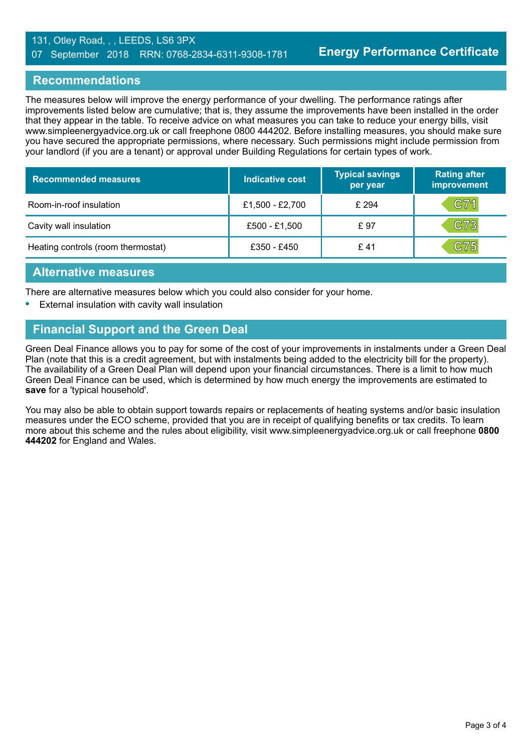#### 131, Otley Road, , , LEEDS, LS6 3PX 07 September 2018 RRN: 0768-2834-6311-9308-1781

#### **Recommendations**

The measures below will improve the energy performance of your dwelling. The performance ratings after improvements listed below are cumulative; that is, they assume the improvements have been installed in the order that they appear in the table. To receive advice on what measures you can take to reduce your energy bills, visit www.simpleenergyadvice.org.uk or call freephone 0800 444202. Before installing measures, you should make sure you have secured the appropriate permissions, where necessary. Such permissions might include permission from your landlord (if you are a tenant) or approval under Building Regulations for certain types of work.

| <b>Recommended measures</b>        | Indicative cost | <b>Typical savings</b><br>per year | <b>Rating after</b><br>improvement |
|------------------------------------|-----------------|------------------------------------|------------------------------------|
| Room-in-roof insulation            | £1,500 - £2,700 | £ 294                              | C71                                |
| Cavity wall insulation             | £500 - £1,500   | £97                                | C73                                |
| Heating controls (room thermostat) | £350 - £450     | £ 41                               | C75                                |

#### **Alternative measures**

There are alternative measures below which you could also consider for your home.

**•** External insulation with cavity wall insulation

## **Financial Support and the Green Deal**

Green Deal Finance allows you to pay for some of the cost of your improvements in instalments under a Green Deal Plan (note that this is a credit agreement, but with instalments being added to the electricity bill for the property). The availability of a Green Deal Plan will depend upon your financial circumstances. There is a limit to how much Green Deal Finance can be used, which is determined by how much energy the improvements are estimated to **save** for a 'typical household'.

You may also be able to obtain support towards repairs or replacements of heating systems and/or basic insulation measures under the ECO scheme, provided that you are in receipt of qualifying benefits or tax credits. To learn more about this scheme and the rules about eligibility, visit www.simpleenergyadvice.org.uk or call freephone **0800 444202** for England and Wales.